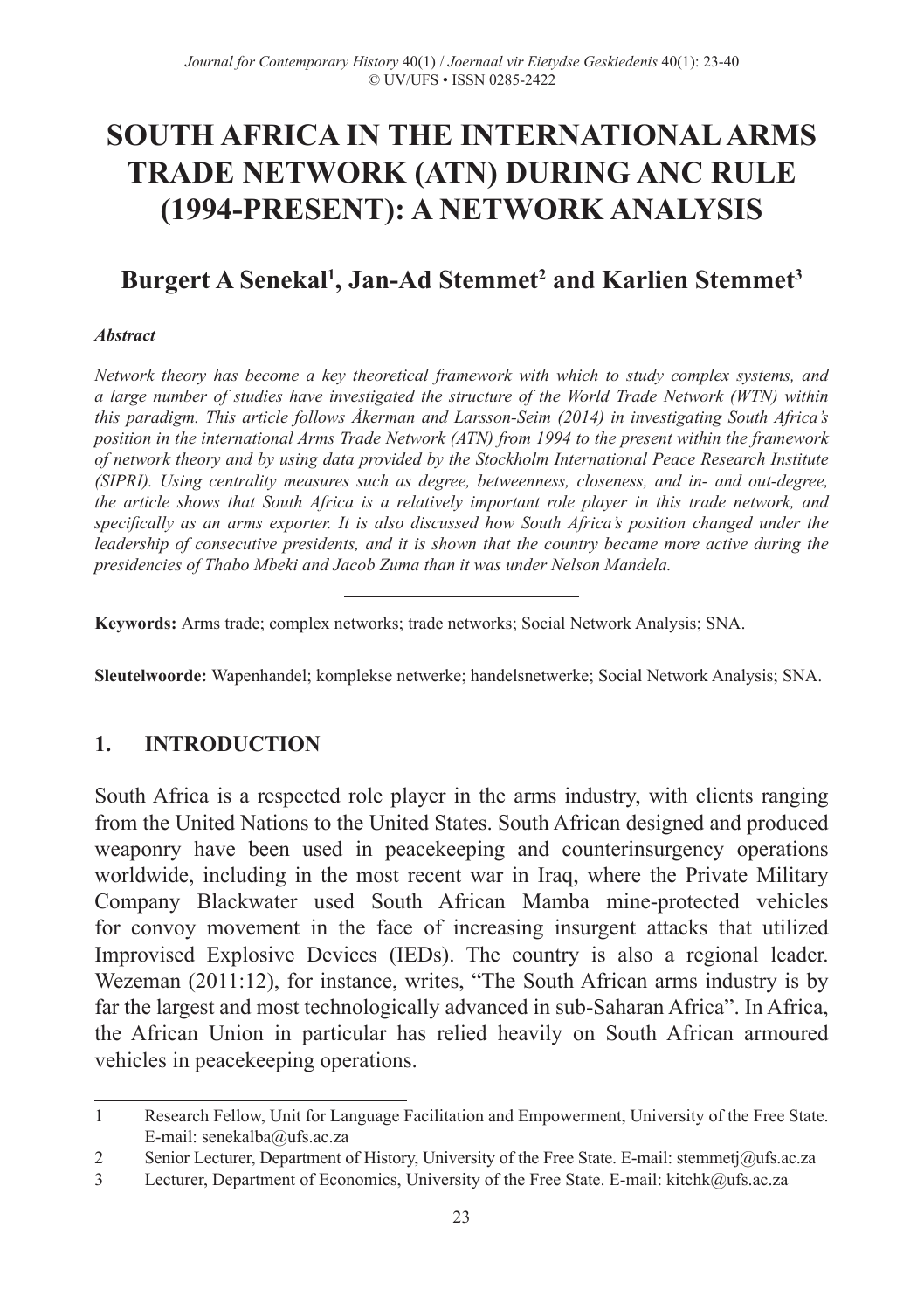# **SOUTH AFRICA IN THE INTERNATIONAL ARMS TRADE NETWORK (ATN) DURING ANC RULE (1994‑PRESENT): A NETWORK ANALYSIS**

## $\mathbf{B}$ urgert A Senekal<sup>1</sup>, Jan-Ad Stemmet<sup>2</sup> and Karlien Stemmet<sup>3</sup>

#### *Abstract*

*Network theory has become a key theoretical framework with which to study complex systems, and a large number of studies have investigated the structure of the World Trade Network (WTN) within this paradigm. This article follows Åkerman and Larsson‑Seim (2014) in investigating South Africa's position in the international Arms Trade Network (ATN) from 1994 to the present within the framework of network theory and by using data provided by the Stockholm International Peace Research Institute (SIPRI). Using centrality measures such as degree, betweenness, closeness, and in‑ and out‑degree, the article shows that South Africa is a relatively important role player in this trade network, and specifically as an arms exporter. It is also discussed how South Africa's position changed under the leadership of consecutive presidents, and it is shown that the country became more active during the presidencies of Thabo Mbeki and Jacob Zuma than it was under Nelson Mandela.*

**Keywords:** Arms trade; complex networks; trade networks; Social Network Analysis; SNA.

**Sleutelwoorde:** Wapenhandel; komplekse netwerke; handelsnetwerke; Social Network Analysis; SNA.

## **1. INTRODUCTION**

South Africa is a respected role player in the arms industry, with clients ranging from the United Nations to the United States. South African designed and produced weaponry have been used in peacekeeping and counterinsurgency operations worldwide, including in the most recent war in Iraq, where the Private Military Company Blackwater used South African Mamba mine‑protected vehicles for convoy movement in the face of increasing insurgent attacks that utilized Improvised Explosive Devices (IEDs). The country is also a regional leader. Wezeman (2011:12), for instance, writes, "The South African arms industry is by far the largest and most technologically advanced in sub-Saharan Africa". In Africa, the African Union in particular has relied heavily on South African armoured vehicles in peacekeeping operations.

<sup>1</sup> Research Fellow, Unit for Language Facilitation and Empowerment, University of the Free State. E‑mail: senekalba@ufs.ac.za

<sup>2</sup> Senior Lecturer, Department of History, University of the Free State. E-mail: stemmetj@ufs.ac.za<br>1 Lecturer, Department of Economics, University of the Free State. E-mail: kitchk@ufs.ac.za

Lecturer, Department of Economics, University of the Free State. E-mail: kitchk@ufs.ac.za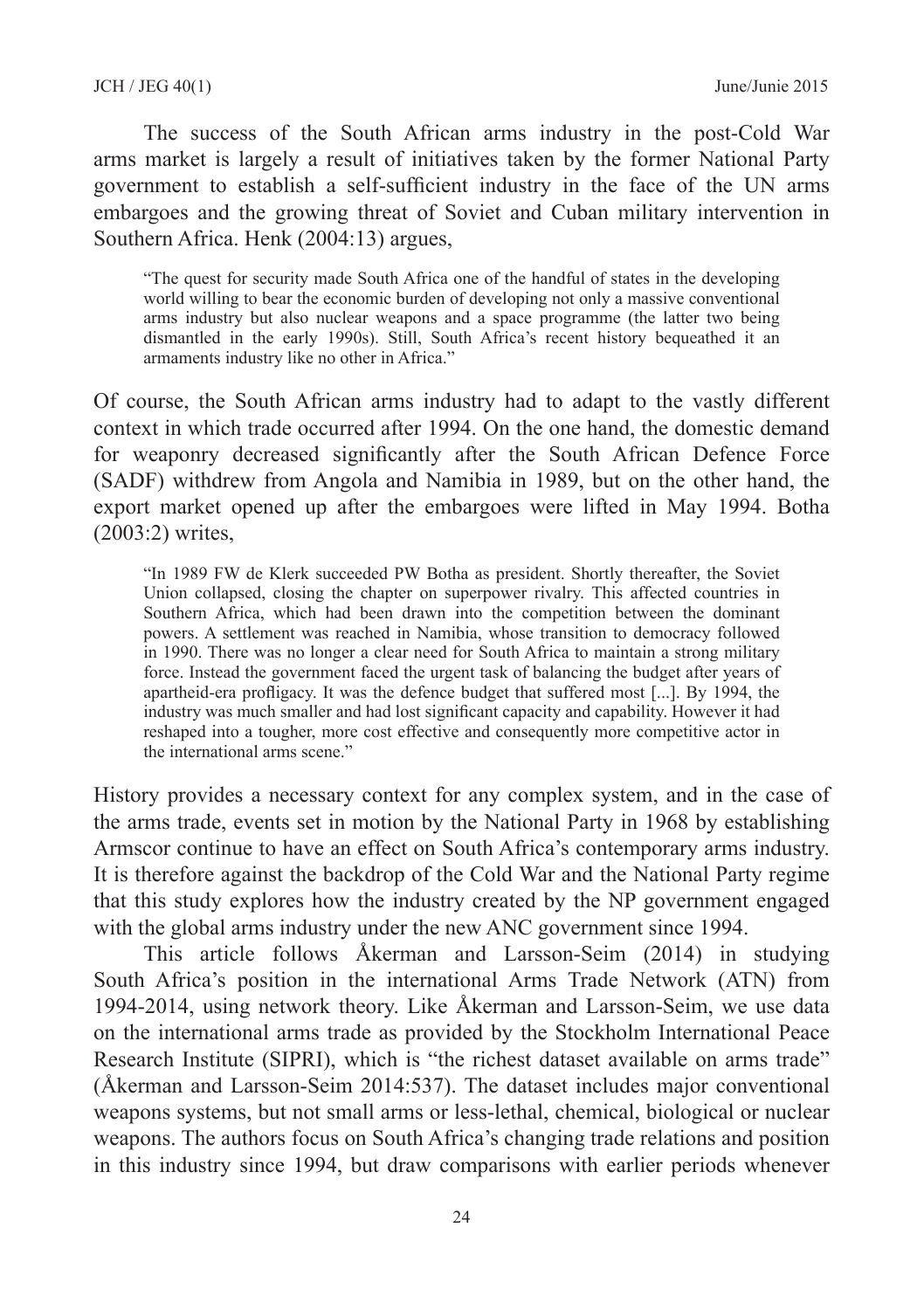The success of the South African arms industry in the post-Cold War arms market is largely a result of initiatives taken by the former National Party government to establish a self‑sufficient industry in the face of the UN arms embargoes and the growing threat of Soviet and Cuban military intervention in Southern Africa. Henk (2004:13) argues,

"The quest for security made South Africa one of the handful of states in the developing world willing to bear the economic burden of developing not only a massive conventional arms industry but also nuclear weapons and a space programme (the latter two being dismantled in the early 1990s). Still, South Africa's recent history bequeathed it an armaments industry like no other in Africa."

Of course, the South African arms industry had to adapt to the vastly different context in which trade occurred after 1994. On the one hand, the domestic demand for weaponry decreased significantly after the South African Defence Force (SADF) withdrew from Angola and Namibia in 1989, but on the other hand, the export market opened up after the embargoes were lifted in May 1994. Botha (2003:2) writes,

"In 1989 FW de Klerk succeeded PW Botha as president. Shortly thereafter, the Soviet Union collapsed, closing the chapter on superpower rivalry. This affected countries in Southern Africa, which had been drawn into the competition between the dominant powers. A settlement was reached in Namibia, whose transition to democracy followed in 1990. There was no longer a clear need for South Africa to maintain a strong military force. Instead the government faced the urgent task of balancing the budget after years of apartheid-era profligacy. It was the defence budget that suffered most [...]. By 1994, the industry was much smaller and had lost significant capacity and capability. However it had reshaped into a tougher, more cost effective and consequently more competitive actor in the international arms scene."

History provides a necessary context for any complex system, and in the case of the arms trade, events set in motion by the National Party in 1968 by establishing Armscor continue to have an effect on South Africa's contemporary arms industry. It is therefore against the backdrop of the Cold War and the National Party regime that this study explores how the industry created by the NP government engaged with the global arms industry under the new ANC government since 1994.

This article follows Åkerman and Larsson‑Seim (2014) in studying South Africa's position in the international Arms Trade Network (ATN) from 1994‑2014, using network theory. Like Åkerman and Larsson‑Seim, we use data on the international arms trade as provided by the Stockholm International Peace Research Institute (SIPRI), which is "the richest dataset available on arms trade" (Åkerman and Larsson‑Seim 2014:537). The dataset includes major conventional weapons systems, but not small arms or less‑lethal, chemical, biological or nuclear weapons. The authors focus on South Africa's changing trade relations and position in this industry since 1994, but draw comparisons with earlier periods whenever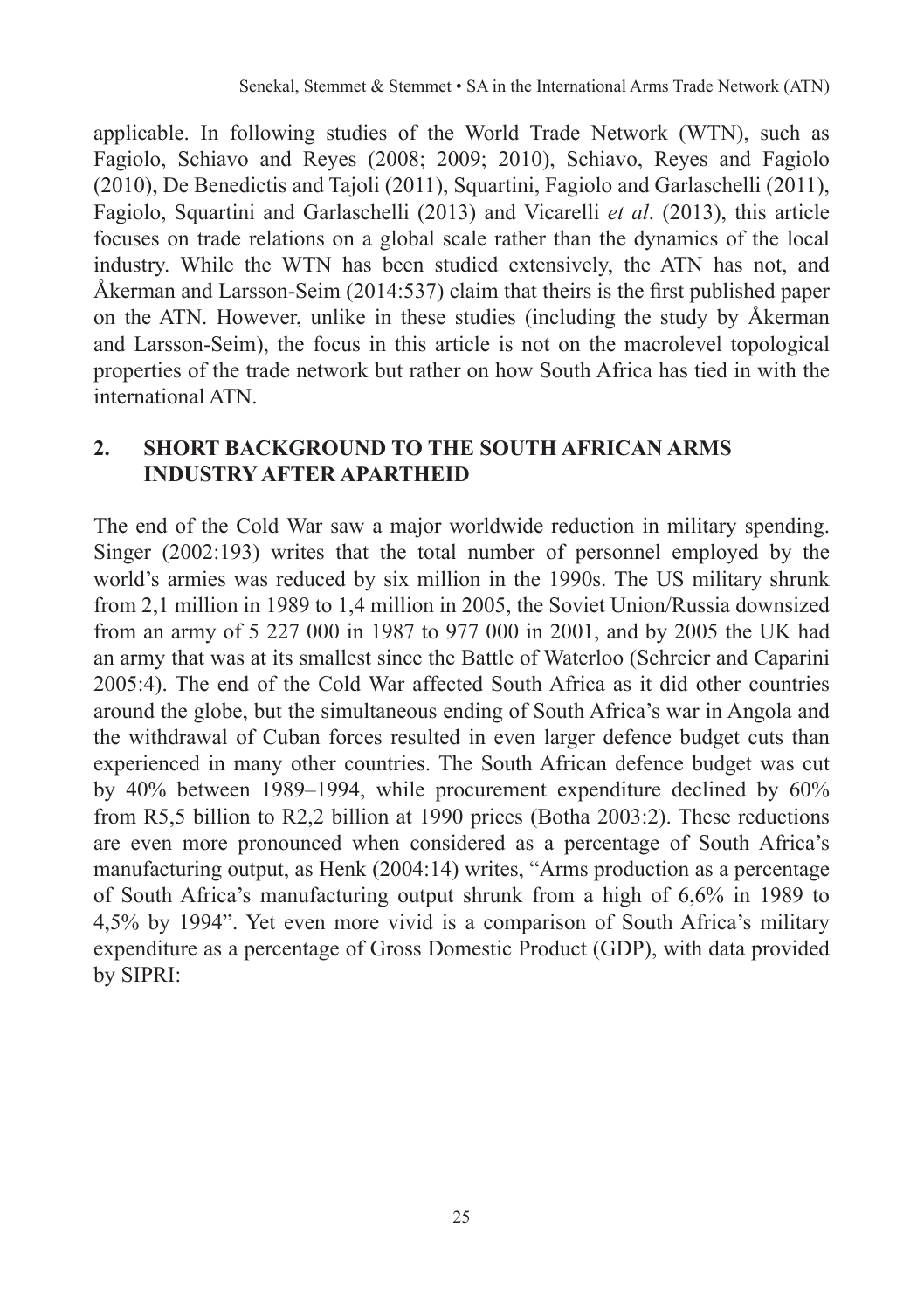applicable. In following studies of the World Trade Network (WTN), such as Fagiolo, Schiavo and Reyes (2008; 2009; 2010), Schiavo, Reyes and Fagiolo (2010), De Benedictis and Tajoli (2011), Squartini, Fagiolo and Garlaschelli (2011), Fagiolo, Squartini and Garlaschelli (2013) and Vicarelli *et al*. (2013), this article focuses on trade relations on a global scale rather than the dynamics of the local industry. While the WTN has been studied extensively, the ATN has not, and Åkerman and Larsson-Seim (2014:537) claim that theirs is the first published paper on the ATN. However, unlike in these studies (including the study by Åkerman and Larsson‑Seim), the focus in this article is not on the macrolevel topological properties of the trade network but rather on how South Africa has tied in with the international ATN.

## **2. SHORT BACKGROUND TO THE SOUTH AFRICAN ARMS INDUSTRY AFTER APARTHEID**

The end of the Cold War saw a major worldwide reduction in military spending. Singer (2002:193) writes that the total number of personnel employed by the world's armies was reduced by six million in the 1990s. The US military shrunk from 2,1 million in 1989 to 1,4 million in 2005, the Soviet Union/Russia downsized from an army of 5 227 000 in 1987 to 977 000 in 2001, and by 2005 the UK had an army that was at its smallest since the Battle of Waterloo (Schreier and Caparini 2005:4). The end of the Cold War affected South Africa as it did other countries around the globe, but the simultaneous ending of South Africa's war in Angola and the withdrawal of Cuban forces resulted in even larger defence budget cuts than experienced in many other countries. The South African defence budget was cut by 40% between 1989–1994, while procurement expenditure declined by 60% from R5,5 billion to R2,2 billion at 1990 prices (Botha 2003:2). These reductions are even more pronounced when considered as a percentage of South Africa's manufacturing output, as Henk (2004:14) writes, "Arms production as a percentage of South Africa's manufacturing output shrunk from a high of 6,6% in 1989 to 4,5% by 1994". Yet even more vivid is a comparison of South Africa's military expenditure as a percentage of Gross Domestic Product (GDP), with data provided by SIPRI: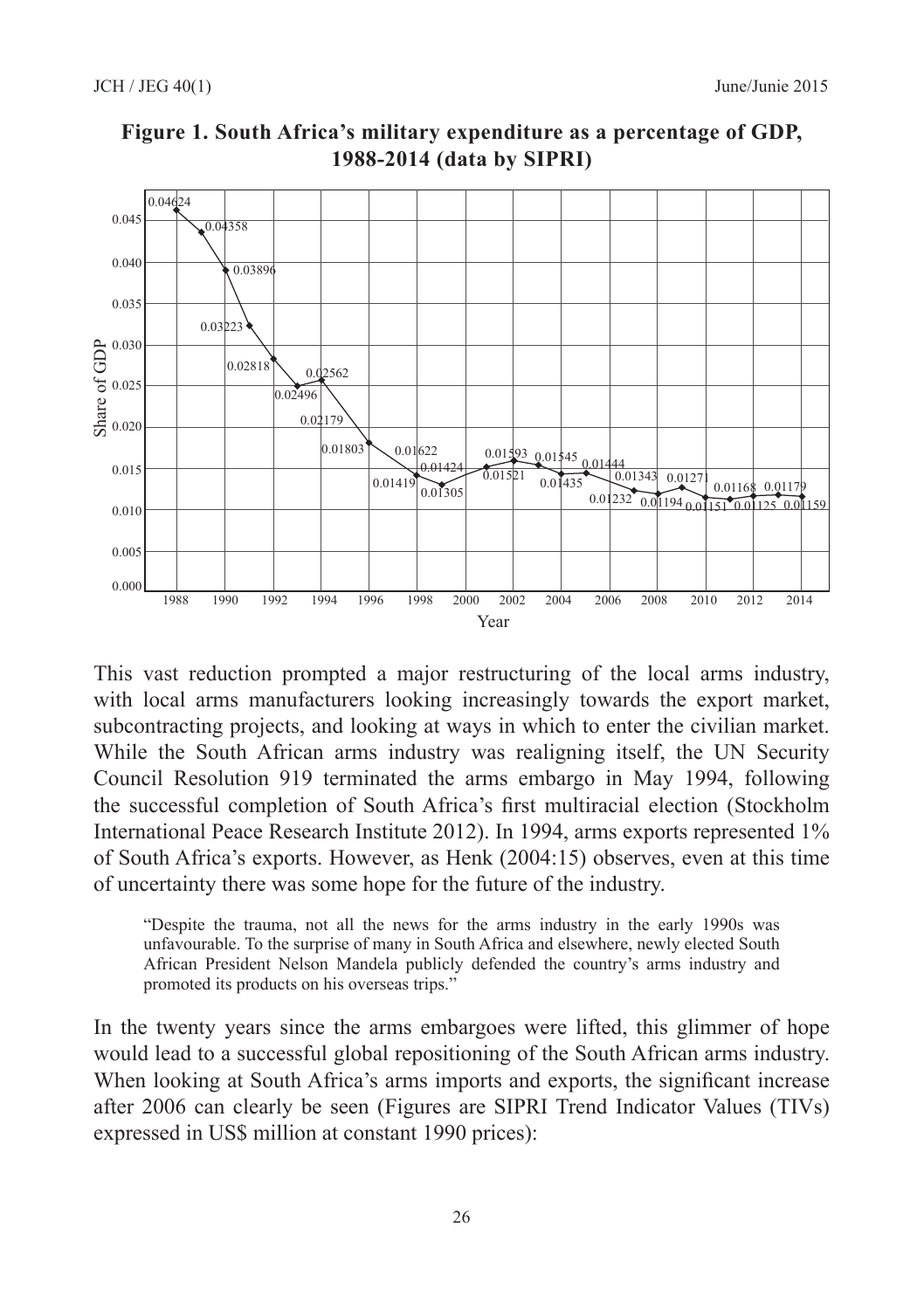

**Figure 1. South Africa's military expenditure as a percentage of GDP, 1988‑2014 (data by SIPRI)**

This vast reduction prompted a major restructuring of the local arms industry, with local arms manufacturers looking increasingly towards the export market, subcontracting projects, and looking at ways in which to enter the civilian market. While the South African arms industry was realigning itself, the UN Security Council Resolution 919 terminated the arms embargo in May 1994, following the successful completion of South Africa's first multiracial election (Stockholm International Peace Research Institute 2012). In 1994, arms exports represented 1% of South Africa's exports. However, as Henk (2004:15) observes, even at this time of uncertainty there was some hope for the future of the industry.

"Despite the trauma, not all the news for the arms industry in the early 1990s was unfavourable. To the surprise of many in South Africa and elsewhere, newly elected South African President Nelson Mandela publicly defended the country's arms industry and promoted its products on his overseas trips."

In the twenty years since the arms embargoes were lifted, this glimmer of hope would lead to a successful global repositioning of the South African arms industry. When looking at South Africa's arms imports and exports, the significant increase after 2006 can clearly be seen (Figures are SIPRI Trend Indicator Values (TIVs) expressed in US\$ million at constant 1990 prices):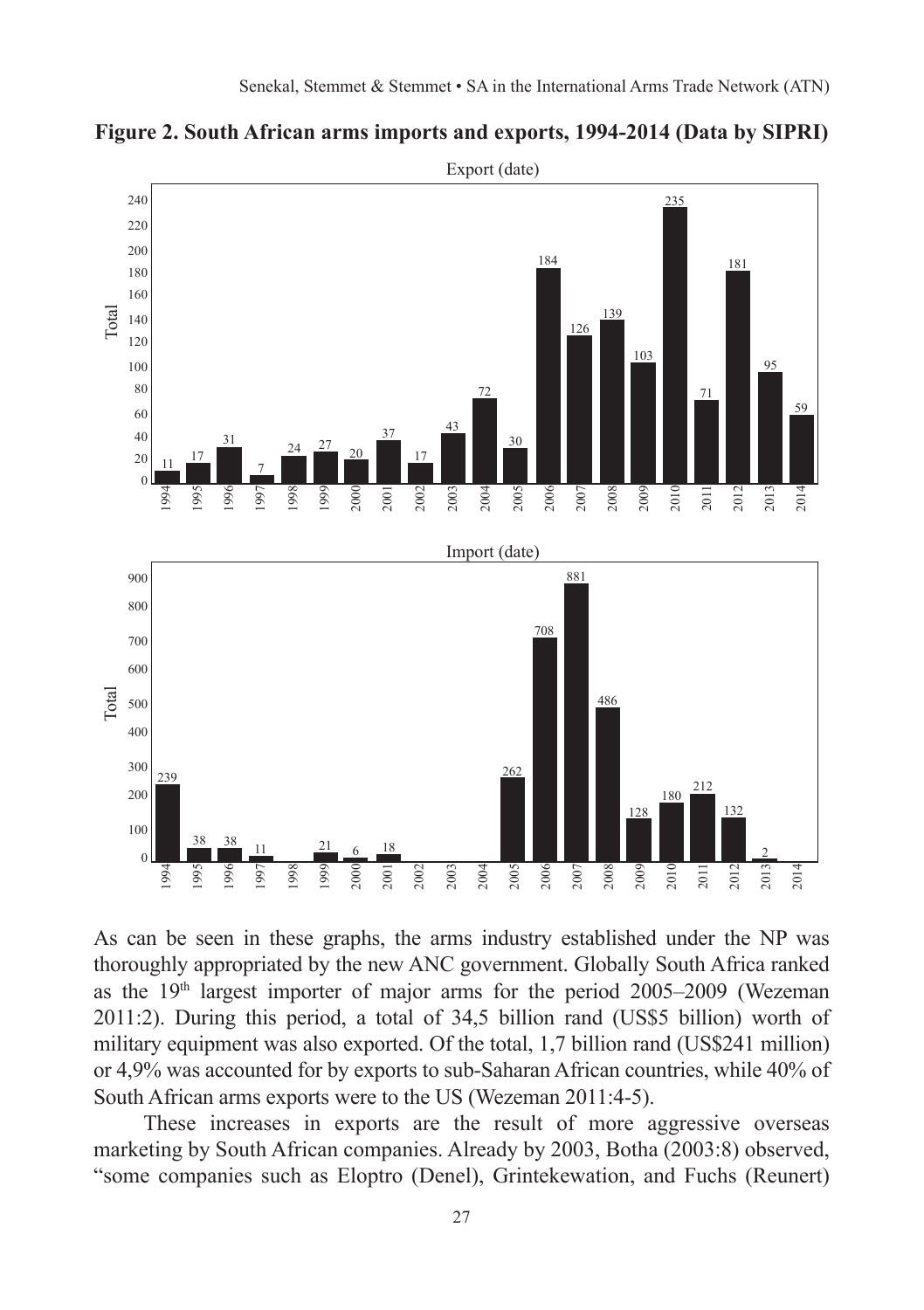

**Figure 2. South African arms imports and exports, 1994‑2014 (Data by SIPRI)**

As can be seen in these graphs, the arms industry established under the NP was thoroughly appropriated by the new ANC government. Globally South Africa ranked as the  $19<sup>th</sup>$  largest importer of major arms for the period 2005–2009 (Wezeman 2011:2). During this period, a total of 34,5 billion rand (US\$5 billion) worth of military equipment was also exported. Of the total, 1,7 billion rand (US\$241 million) or 4,9% was accounted for by exports to sub‑Saharan African countries, while 40% of South African arms exports were to the US (Wezeman 2011:4-5).

These increases in exports are the result of more aggressive overseas marketing by South African companies. Already by 2003, Botha (2003:8) observed, "some companies such as Eloptro (Denel), Grintekewation, and Fuchs (Reunert)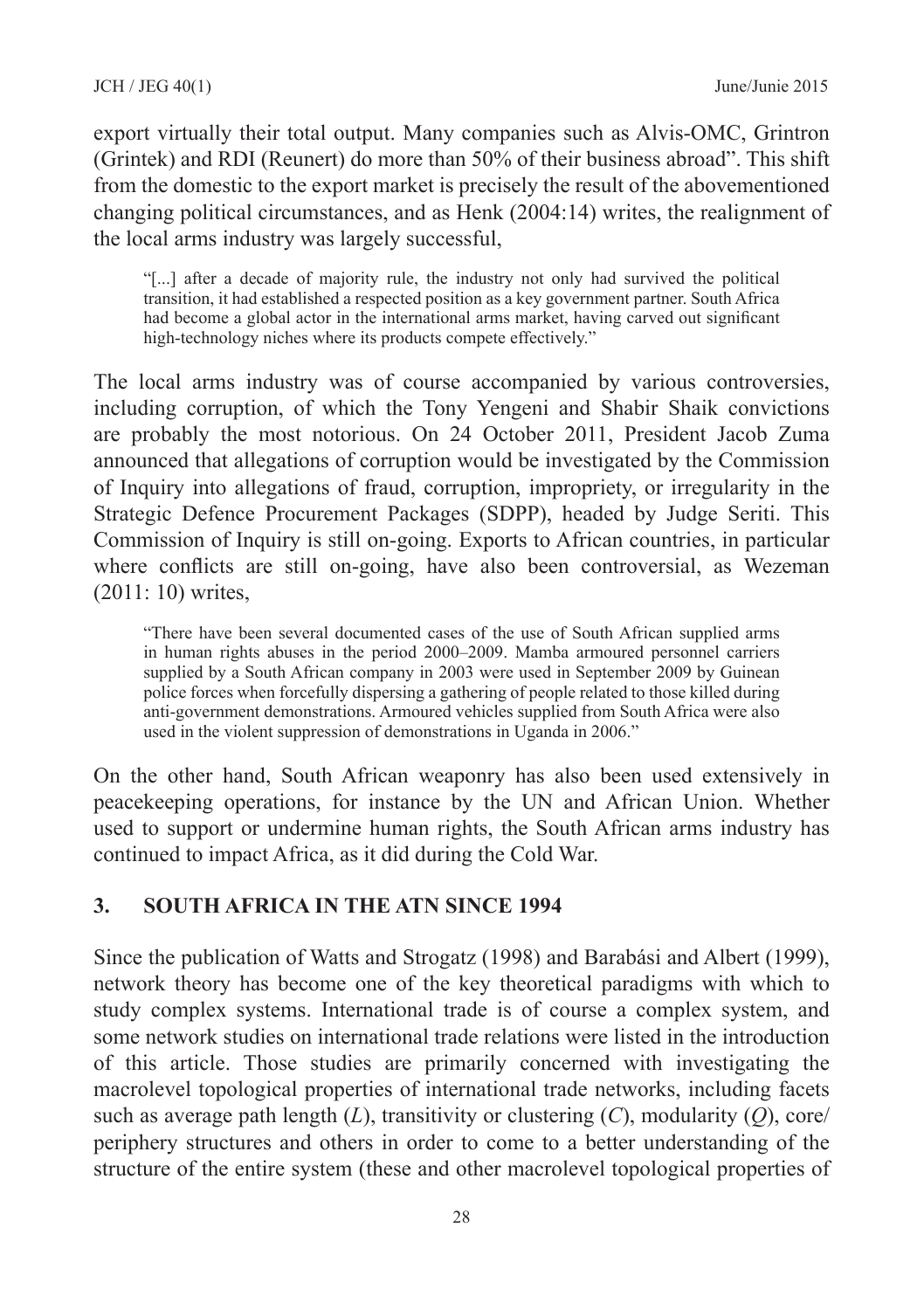export virtually their total output. Many companies such as Alvis‑OMC, Grintron (Grintek) and RDI (Reunert) do more than 50% of their business abroad". This shift from the domestic to the export market is precisely the result of the abovementioned changing political circumstances, and as Henk (2004:14) writes, the realignment of the local arms industry was largely successful,

"[...] after a decade of majority rule, the industry not only had survived the political transition, it had established a respected position as a key government partner. South Africa had become a global actor in the international arms market, having carved out significant high-technology niches where its products compete effectively."

The local arms industry was of course accompanied by various controversies, including corruption, of which the Tony Yengeni and Shabir Shaik convictions are probably the most notorious. On 24 October 2011, President Jacob Zuma announced that allegations of corruption would be investigated by the Commission of Inquiry into allegations of fraud, corruption, impropriety, or irregularity in the Strategic Defence Procurement Packages (SDPP), headed by Judge Seriti. This Commission of Inquiry is still on‑going. Exports to African countries, in particular where conflicts are still on-going, have also been controversial, as Wezeman (2011: 10) writes,

"There have been several documented cases of the use of South African supplied arms in human rights abuses in the period 2000–2009. Mamba armoured personnel carriers supplied by a South African company in 2003 were used in September 2009 by Guinean police forces when forcefully dispersing a gathering of people related to those killed during anti‑government demonstrations. Armoured vehicles supplied from South Africa were also used in the violent suppression of demonstrations in Uganda in 2006."

On the other hand, South African weaponry has also been used extensively in peacekeeping operations, for instance by the UN and African Union. Whether used to support or undermine human rights, the South African arms industry has continued to impact Africa, as it did during the Cold War.

## **3. SOUTH AFRICA IN THE ATN SINCE 1994**

Since the publication of Watts and Strogatz (1998) and Barabási and Albert (1999), network theory has become one of the key theoretical paradigms with which to study complex systems. International trade is of course a complex system, and some network studies on international trade relations were listed in the introduction of this article. Those studies are primarily concerned with investigating the macrolevel topological properties of international trade networks, including facets such as average path length (*L*), transitivity or clustering (*C*), modularity (*Q*), core/ periphery structures and others in order to come to a better understanding of the structure of the entire system (these and other macrolevel topological properties of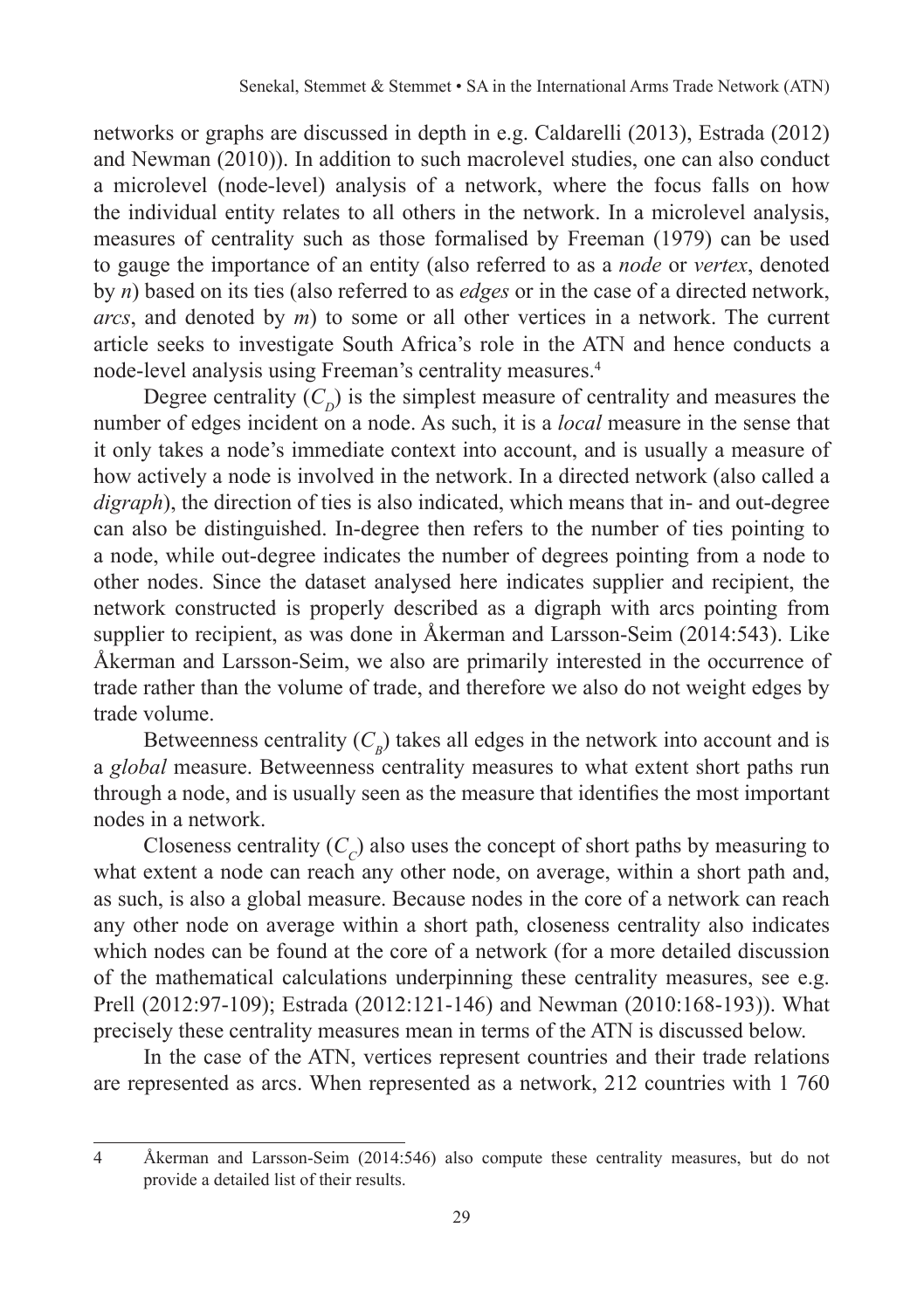networks or graphs are discussed in depth in e.g. Caldarelli (2013), Estrada (2012) and Newman (2010)). In addition to such macrolevel studies, one can also conduct a microlevel (node‑level) analysis of a network, where the focus falls on how the individual entity relates to all others in the network. In a microlevel analysis, measures of centrality such as those formalised by Freeman (1979) can be used to gauge the importance of an entity (also referred to as a *node* or *vertex*, denoted by *n*) based on its ties (also referred to as *edges* or in the case of a directed network, *arcs*, and denoted by *m*) to some or all other vertices in a network. The current article seeks to investigate South Africa's role in the ATN and hence conducts a node‑level analysis using Freeman's centrality measures.4

Degree centrality  $(C_p)$  is the simplest measure of centrality and measures the number of edges incident on a node. As such, it is a *local* measure in the sense that it only takes a node's immediate context into account, and is usually a measure of how actively a node is involved in the network. In a directed network (also called a *digraph*), the direction of ties is also indicated, which means that in– and out-degree can also be distinguished. In‑degree then refers to the number of ties pointing to a node, while out‑degree indicates the number of degrees pointing from a node to other nodes. Since the dataset analysed here indicates supplier and recipient, the network constructed is properly described as a digraph with arcs pointing from supplier to recipient, as was done in Åkerman and Larsson-Seim (2014:543). Like Åkerman and Larsson-Seim, we also are primarily interested in the occurrence of trade rather than the volume of trade, and therefore we also do not weight edges by trade volume.

Betweenness centrality  $(C_p)$  takes all edges in the network into account and is a *global* measure. Betweenness centrality measures to what extent short paths run through a node, and is usually seen as the measure that identifies the most important nodes in a network.

Closeness centrality  $(C<sub>c</sub>)$  also uses the concept of short paths by measuring to what extent a node can reach any other node, on average, within a short path and, as such, is also a global measure. Because nodes in the core of a network can reach any other node on average within a short path, closeness centrality also indicates which nodes can be found at the core of a network (for a more detailed discussion of the mathematical calculations underpinning these centrality measures, see e.g. Prell (2012:97-109); Estrada (2012:121-146) and Newman (2010:168-193)). What precisely these centrality measures mean in terms of the ATN is discussed below.

In the case of the ATN, vertices represent countries and their trade relations are represented as arcs. When represented as a network, 212 countries with 1 760

<sup>4</sup> Åkerman and Larsson‑Seim (2014:546) also compute these centrality measures, but do not provide a detailed list of their results.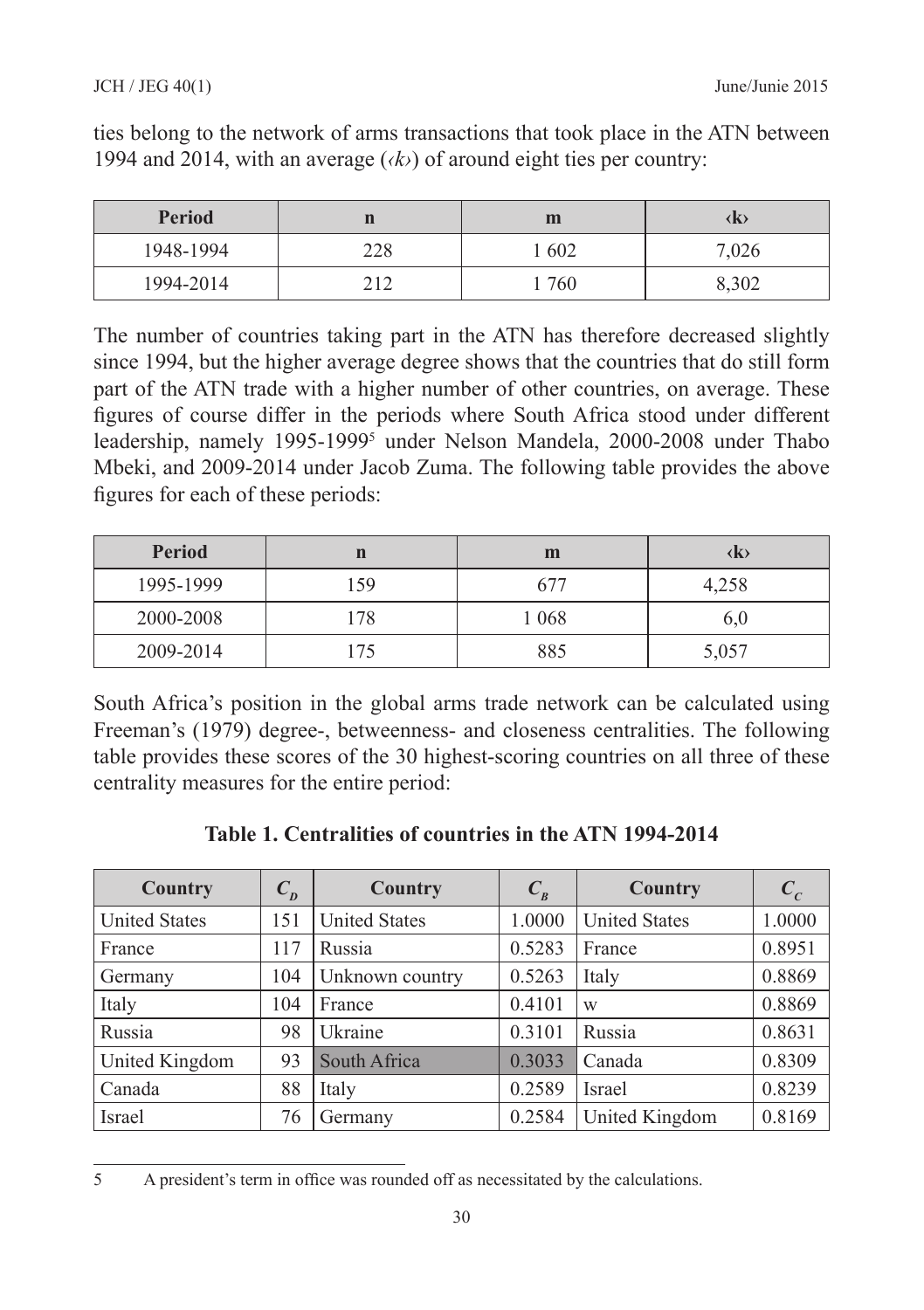#### JCH / JEG 40(1) June/Junie 2015

| <b>Period</b> |                 | m                        |        |  |
|---------------|-----------------|--------------------------|--------|--|
| 1948-1994     | າາເ<br>د ۱ سه ب | $60^\circ$<br><b>UNL</b> | $\sim$ |  |

1994‑2014 212 1 760 8,302

ties belong to the network of arms transactions that took place in the ATN between 1994 and 2014, with an average  $(k)$  of around eight ties per country:

The number of countries taking part in the ATN has therefore decreased slightly since 1994, but the higher average degree shows that the countries that do still form part of the ATN trade with a higher number of other countries, on average. These figures of course differ in the periods where South Africa stood under different leadership, namely 1995‑19995 under Nelson Mandela, 2000‑2008 under Thabo Mbeki, and 2009-2014 under Jacob Zuma. The following table provides the above figures for each of these periods:

| Period    | n   | m       | (K)   |
|-----------|-----|---------|-------|
| 1995-1999 | 159 | 677     | 4,258 |
| 2000-2008 | 178 | 1 0 6 8 | 6,0   |
| 2009-2014 |     | 885     | 5,057 |

South Africa's position in the global arms trade network can be calculated using Freeman's (1979) degree-, betweenness- and closeness centralities. The following table provides these scores of the 30 highest-scoring countries on all three of these centrality measures for the entire period:

| Country              | $C_p$ | Country              | $C_{B}$ | Country              | $c_{c}$ |
|----------------------|-------|----------------------|---------|----------------------|---------|
| <b>United States</b> | 151   | <b>United States</b> | 1.0000  | <b>United States</b> | 1.0000  |
| France               | 117   | Russia               | 0.5283  | France               | 0.8951  |
| Germany              | 104   | Unknown country      | 0.5263  | Italy                | 0.8869  |
| Italy                | 104   | France               | 0.4101  | W                    | 0.8869  |
| Russia               | 98    | Ukraine              | 0.3101  | Russia               | 0.8631  |
| United Kingdom       | 93    | South Africa         | 0.3033  | Canada               | 0.8309  |
| Canada               | 88    | Italy                | 0.2589  | Israel               | 0.8239  |
| Israel               | 76    | Germany              | 0.2584  | United Kingdom       | 0.8169  |

**Table 1. Centralities of countries in the ATN 1994‑2014**

<sup>5</sup> A president's term in office was rounded off as necessitated by the calculations.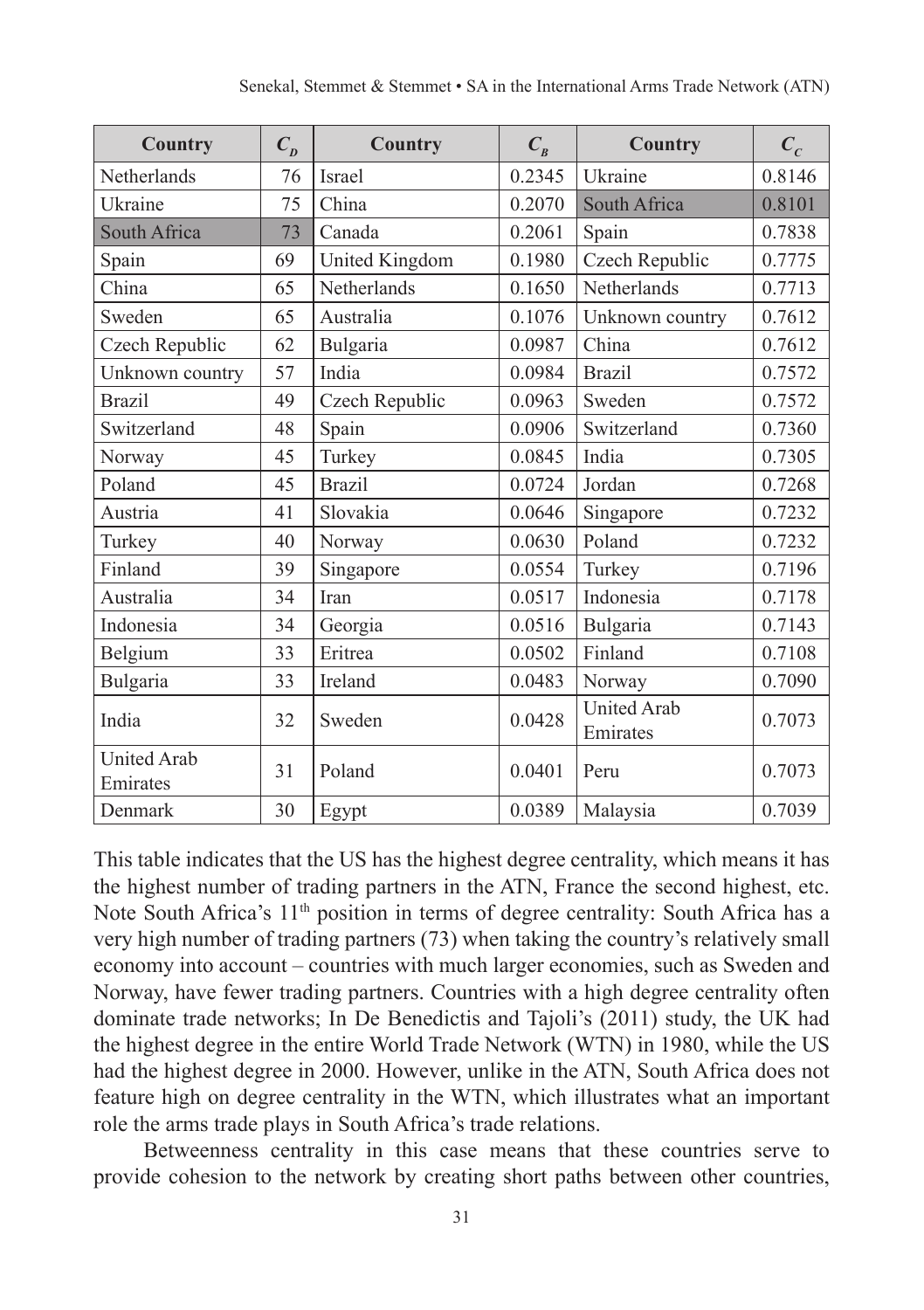| Country                        | $C_p$ | Country        | $C_{B}$ | Country                        | $C_{c}$ |
|--------------------------------|-------|----------------|---------|--------------------------------|---------|
| Netherlands                    | 76    | Israel         | 0.2345  | Ukraine                        | 0.8146  |
| Ukraine                        | 75    | China          | 0.2070  | South Africa                   | 0.8101  |
| South Africa                   | 73    | Canada         | 0.2061  | Spain                          | 0.7838  |
| Spain                          | 69    | United Kingdom | 0.1980  | Czech Republic                 | 0.7775  |
| China                          | 65    | Netherlands    | 0.1650  | Netherlands                    | 0.7713  |
| Sweden                         | 65    | Australia      | 0.1076  | Unknown country                | 0.7612  |
| Czech Republic                 | 62    | Bulgaria       | 0.0987  | China                          | 0.7612  |
| Unknown country                | 57    | India          | 0.0984  | <b>Brazil</b>                  | 0.7572  |
| <b>Brazil</b>                  | 49    | Czech Republic | 0.0963  | Sweden                         | 0.7572  |
| Switzerland                    | 48    | Spain          | 0.0906  | Switzerland                    | 0.7360  |
| Norway                         | 45    | Turkey         | 0.0845  | India                          | 0.7305  |
| Poland                         | 45    | <b>Brazil</b>  | 0.0724  | Jordan                         | 0.7268  |
| Austria                        | 41    | Slovakia       | 0.0646  | Singapore                      | 0.7232  |
| Turkey                         | 40    | Norway         | 0.0630  | Poland                         | 0.7232  |
| Finland                        | 39    | Singapore      | 0.0554  | Turkey                         | 0.7196  |
| Australia                      | 34    | Iran           | 0.0517  | Indonesia                      | 0.7178  |
| Indonesia                      | 34    | Georgia        | 0.0516  | Bulgaria                       | 0.7143  |
| Belgium                        | 33    | Eritrea        | 0.0502  | Finland                        | 0.7108  |
| Bulgaria                       | 33    | Ireland        | 0.0483  | Norway                         | 0.7090  |
| India                          | 32    | Sweden         | 0.0428  | <b>United Arab</b><br>Emirates | 0.7073  |
| <b>United Arab</b><br>Emirates | 31    | Poland         | 0.0401  | Peru                           | 0.7073  |
| Denmark                        | 30    | Egypt          | 0.0389  | Malaysia                       | 0.7039  |

This table indicates that the US has the highest degree centrality, which means it has the highest number of trading partners in the ATN, France the second highest, etc. Note South Africa's 11<sup>th</sup> position in terms of degree centrality: South Africa has a very high number of trading partners (73) when taking the country's relatively small economy into account – countries with much larger economies, such as Sweden and Norway, have fewer trading partners. Countries with a high degree centrality often dominate trade networks; In De Benedictis and Tajoli's (2011) study, the UK had the highest degree in the entire World Trade Network (WTN) in 1980, while the US had the highest degree in 2000. However, unlike in the ATN, South Africa does not feature high on degree centrality in the WTN, which illustrates what an important role the arms trade plays in South Africa's trade relations.

Betweenness centrality in this case means that these countries serve to provide cohesion to the network by creating short paths between other countries,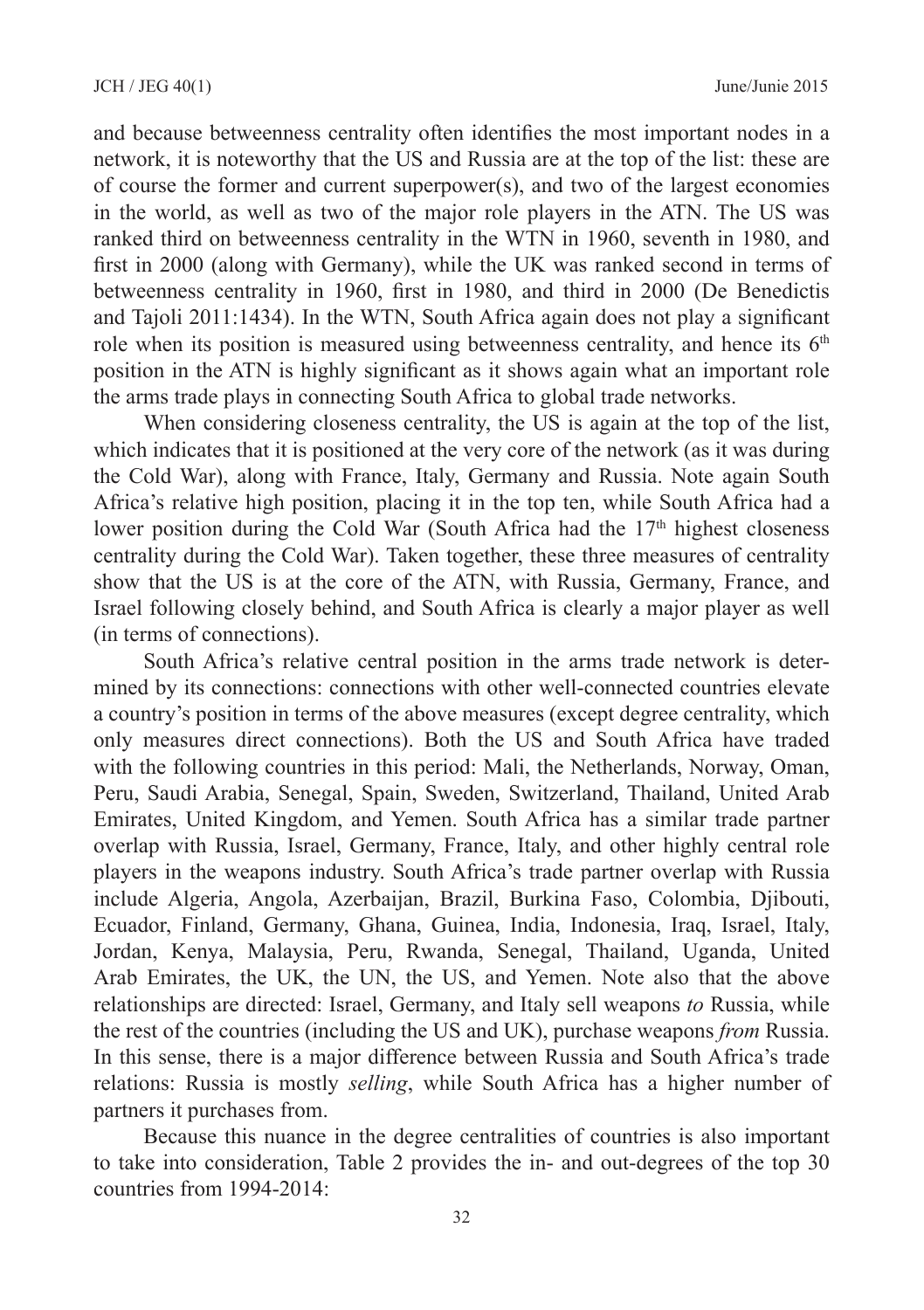and because betweenness centrality often identifies the most important nodes in a network, it is noteworthy that the US and Russia are at the top of the list: these are of course the former and current superpower(s), and two of the largest economies in the world, as well as two of the major role players in the ATN. The US was ranked third on betweenness centrality in the WTN in 1960, seventh in 1980, and first in 2000 (along with Germany), while the UK was ranked second in terms of betweenness centrality in 1960, first in 1980, and third in 2000 (De Benedictis and Tajoli 2011:1434). In the WTN, South Africa again does not play a significant role when its position is measured using betweenness centrality, and hence its 6<sup>th</sup> position in the ATN is highly significant as it shows again what an important role the arms trade plays in connecting South Africa to global trade networks.

When considering closeness centrality, the US is again at the top of the list, which indicates that it is positioned at the very core of the network (as it was during the Cold War), along with France, Italy, Germany and Russia. Note again South Africa's relative high position, placing it in the top ten, while South Africa had a lower position during the Cold War (South Africa had the  $17<sup>th</sup>$  highest closeness centrality during the Cold War). Taken together, these three measures of centrality show that the US is at the core of the ATN, with Russia, Germany, France, and Israel following closely behind, and South Africa is clearly a major player as well (in terms of connections).

South Africa's relative central position in the arms trade network is determined by its connections: connections with other well-connected countries elevate a country's position in terms of the above measures (except degree centrality, which only measures direct connections). Both the US and South Africa have traded with the following countries in this period: Mali, the Netherlands, Norway, Oman, Peru, Saudi Arabia, Senegal, Spain, Sweden, Switzerland, Thailand, United Arab Emirates, United Kingdom, and Yemen. South Africa has a similar trade partner overlap with Russia, Israel, Germany, France, Italy, and other highly central role players in the weapons industry. South Africa's trade partner overlap with Russia include Algeria, Angola, Azerbaijan, Brazil, Burkina Faso, Colombia, Djibouti, Ecuador, Finland, Germany, Ghana, Guinea, India, Indonesia, Iraq, Israel, Italy, Jordan, Kenya, Malaysia, Peru, Rwanda, Senegal, Thailand, Uganda, United Arab Emirates, the UK, the UN, the US, and Yemen. Note also that the above relationships are directed: Israel, Germany, and Italy sell weapons *to* Russia, while the rest of the countries (including the US and UK), purchase weapons *from* Russia. In this sense, there is a major difference between Russia and South Africa's trade relations: Russia is mostly *selling*, while South Africa has a higher number of partners it purchases from.

Because this nuance in the degree centralities of countries is also important to take into consideration, Table 2 provides the in- and out-degrees of the top 30 countries from 1994-2014: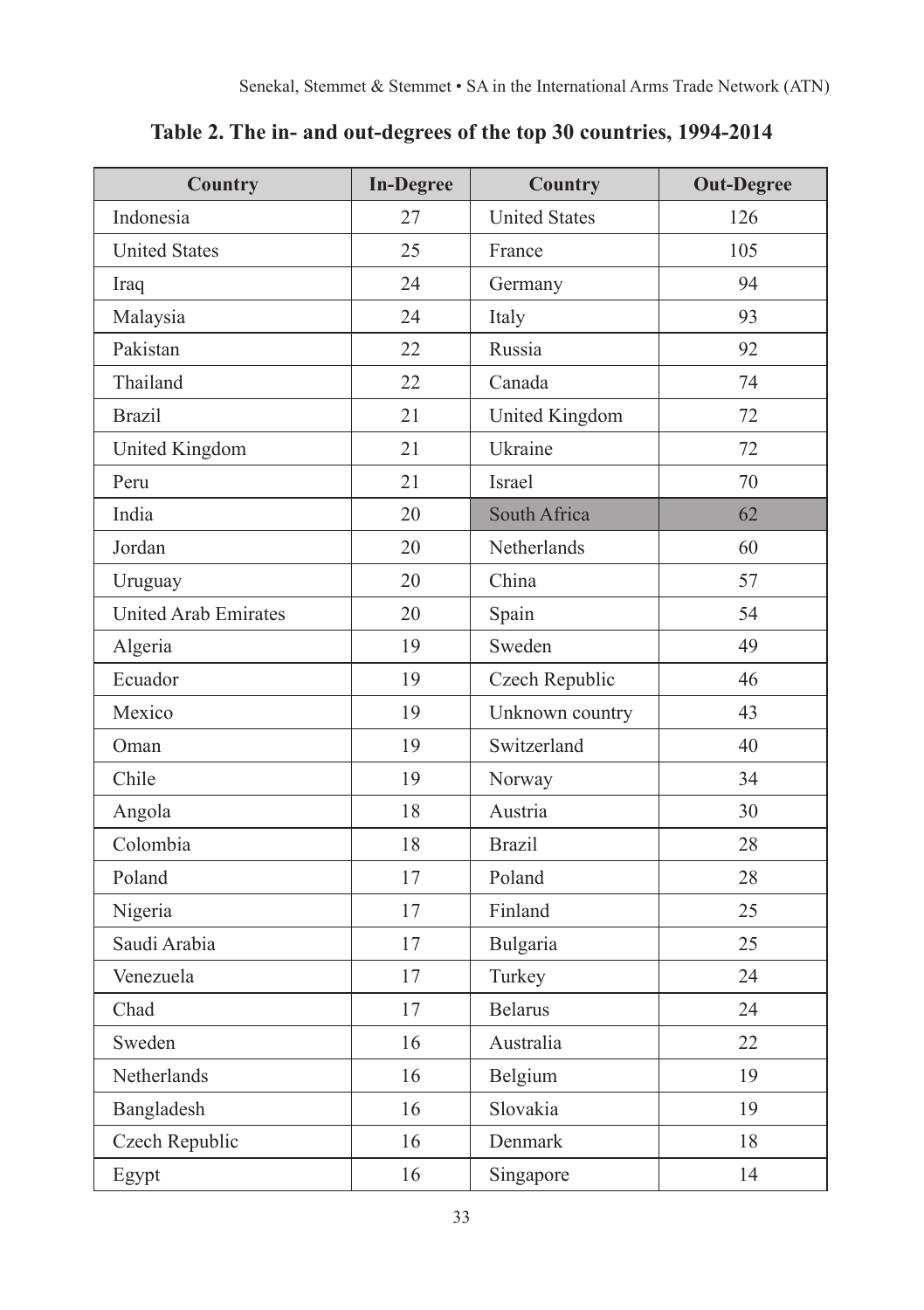| Country                     | <b>In-Degree</b> | Country              | <b>Out-Degree</b> |
|-----------------------------|------------------|----------------------|-------------------|
| Indonesia                   | 27               | <b>United States</b> | 126               |
| <b>United States</b>        | 25               | France               | 105               |
| Iraq                        | 24               | Germany              | 94                |
| Malaysia                    | 24               | Italy                | 93                |
| Pakistan                    | 22               | Russia               | 92                |
| Thailand                    | 22               | Canada               | 74                |
| <b>Brazil</b>               | 21               | United Kingdom       | 72                |
| United Kingdom              | 21               | Ukraine              | 72                |
| Peru                        | 21               | Israel               | 70                |
| India                       | 20               | South Africa         | 62                |
| Jordan                      | 20               | Netherlands          | 60                |
| Uruguay                     | 20               | China                | 57                |
| <b>United Arab Emirates</b> | 20               | Spain                | 54                |
| Algeria                     | 19               | Sweden               | 49                |
| Ecuador                     | 19               | Czech Republic       | 46                |
| Mexico                      | 19               | Unknown country      | 43                |
| Oman                        | 19               | Switzerland          | 40                |
| Chile                       | 19               | Norway               | 34                |
| Angola                      | 18               | Austria              | 30                |
| Colombia                    | 18               | <b>Brazil</b>        | 28                |
| Poland                      | 17               | Poland               | 28                |
| Nigeria                     | 17               | Finland              | 25                |
| Saudi Arabia                | 17               | Bulgaria             | 25                |
| Venezuela                   | 17               | Turkey               | 24                |
| Chad                        | 17               | <b>Belarus</b>       | 24                |
| Sweden                      | 16               | Australia            | 22                |
| Netherlands                 | 16               | Belgium              | 19                |
| Bangladesh                  | 16               | Slovakia             | 19                |
| Czech Republic              | 16               | Denmark              | 18                |
| Egypt                       | 16               | Singapore            | 14                |

**Table 2. The in‑ and out‑degrees of the top 30 countries, 1994‑2014**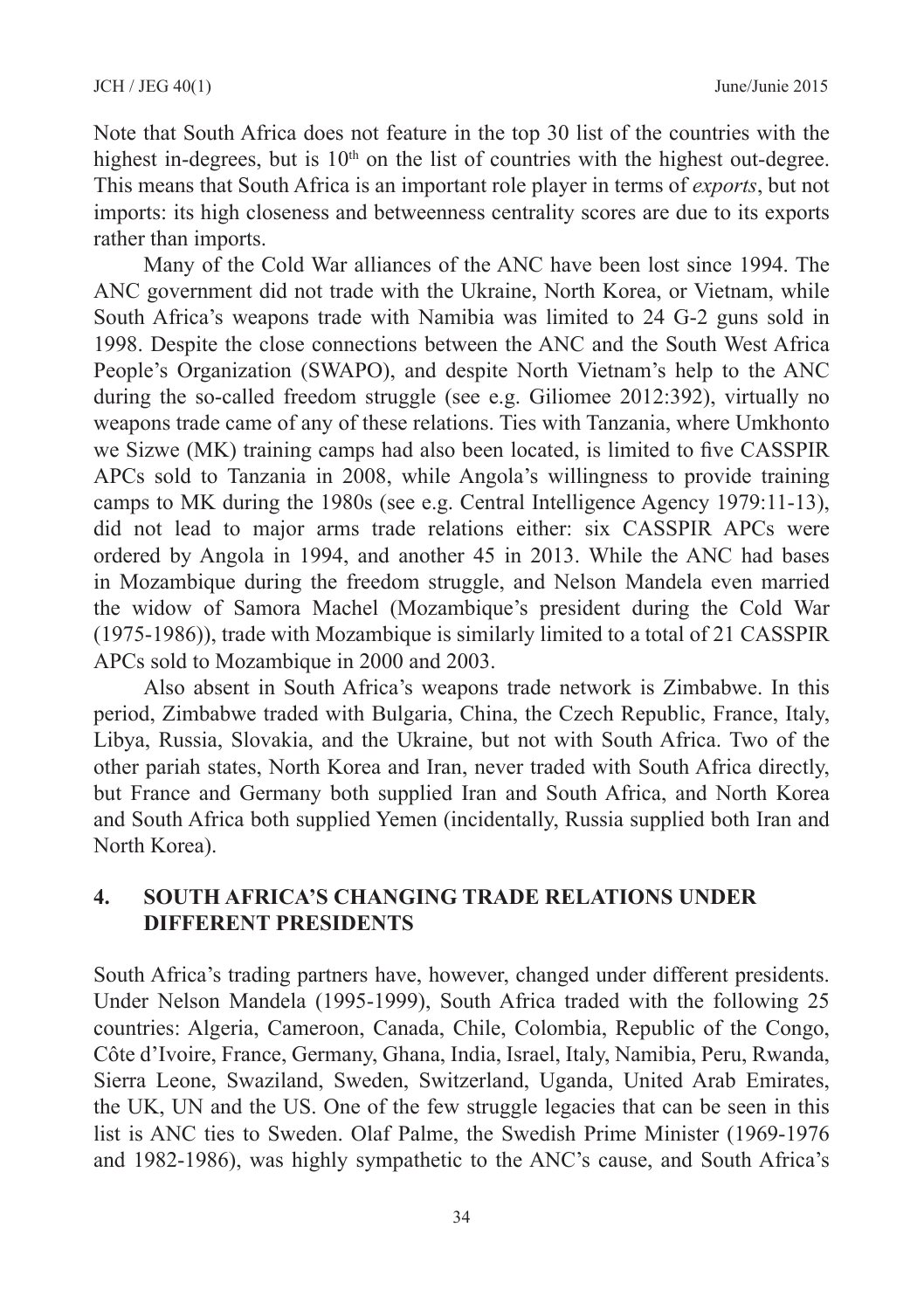Note that South Africa does not feature in the top 30 list of the countries with the highest in-degrees, but is  $10<sup>th</sup>$  on the list of countries with the highest out-degree. This means that South Africa is an important role player in terms of *exports*, but not imports: its high closeness and betweenness centrality scores are due to its exports rather than imports.

Many of the Cold War alliances of the ANC have been lost since 1994. The ANC government did not trade with the Ukraine, North Korea, or Vietnam, while South Africa's weapons trade with Namibia was limited to 24 G-2 guns sold in 1998. Despite the close connections between the ANC and the South West Africa People's Organization (SWAPO), and despite North Vietnam's help to the ANC during the so-called freedom struggle (see e.g. Giliomee 2012:392), virtually no weapons trade came of any of these relations. Ties with Tanzania, where Umkhonto we Sizwe (MK) training camps had also been located, is limited to five CASSPIR APCs sold to Tanzania in 2008, while Angola's willingness to provide training camps to MK during the 1980s (see e.g. Central Intelligence Agency 1979:11-13), did not lead to major arms trade relations either: six CASSPIR APCs were ordered by Angola in 1994, and another 45 in 2013. While the ANC had bases in Mozambique during the freedom struggle, and Nelson Mandela even married the widow of Samora Machel (Mozambique's president during the Cold War (1975‑1986)), trade with Mozambique is similarly limited to a total of 21 CASSPIR APCs sold to Mozambique in 2000 and 2003.

Also absent in South Africa's weapons trade network is Zimbabwe. In this period, Zimbabwe traded with Bulgaria, China, the Czech Republic, France, Italy, Libya, Russia, Slovakia, and the Ukraine, but not with South Africa. Two of the other pariah states, North Korea and Iran, never traded with South Africa directly, but France and Germany both supplied Iran and South Africa, and North Korea and South Africa both supplied Yemen (incidentally, Russia supplied both Iran and North Korea).

### **4. SOUTH AFRICA'S CHANGING TRADE RELATIONS UNDER DIFFERENT PRESIDENTS**

South Africa's trading partners have, however, changed under different presidents. Under Nelson Mandela (1995‑1999), South Africa traded with the following 25 countries: Algeria, Cameroon, Canada, Chile, Colombia, Republic of the Congo, Côte d'Ivoire, France, Germany, Ghana, India, Israel, Italy, Namibia, Peru, Rwanda, Sierra Leone, Swaziland, Sweden, Switzerland, Uganda, United Arab Emirates, the UK, UN and the US. One of the few struggle legacies that can be seen in this list is ANC ties to Sweden. Olaf Palme, the Swedish Prime Minister (1969-1976) and 1982‑1986), was highly sympathetic to the ANC's cause, and South Africa's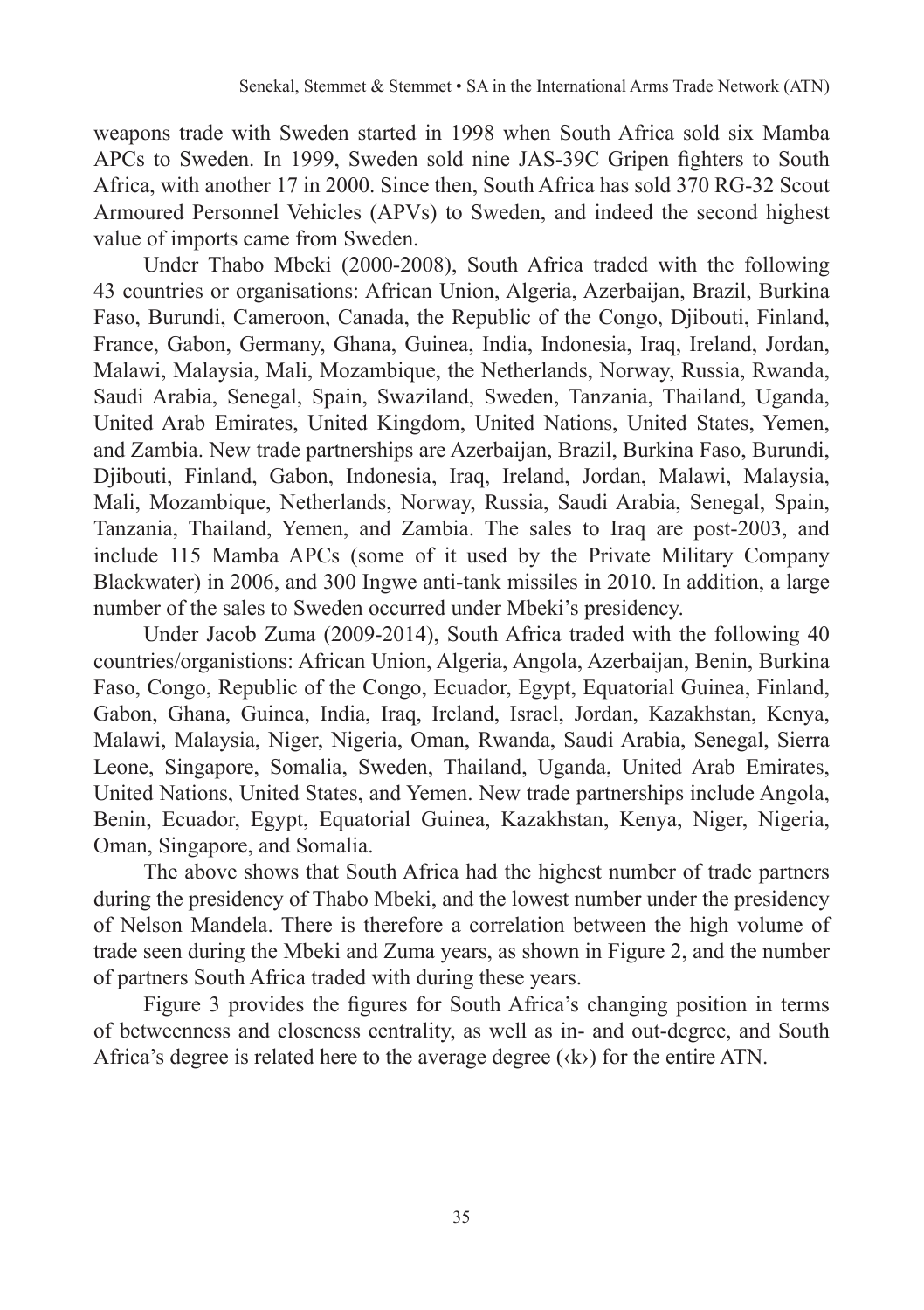weapons trade with Sweden started in 1998 when South Africa sold six Mamba APCs to Sweden. In 1999, Sweden sold nine JAS‑39C Gripen fighters to South Africa, with another 17 in 2000. Since then, South Africa has sold 370 RG‑32 Scout Armoured Personnel Vehicles (APVs) to Sweden, and indeed the second highest value of imports came from Sweden.

Under Thabo Mbeki (2000‑2008), South Africa traded with the following 43 countries or organisations: African Union, Algeria, Azerbaijan, Brazil, Burkina Faso, Burundi, Cameroon, Canada, the Republic of the Congo, Djibouti, Finland, France, Gabon, Germany, Ghana, Guinea, India, Indonesia, Iraq, Ireland, Jordan, Malawi, Malaysia, Mali, Mozambique, the Netherlands, Norway, Russia, Rwanda, Saudi Arabia, Senegal, Spain, Swaziland, Sweden, Tanzania, Thailand, Uganda, United Arab Emirates, United Kingdom, United Nations, United States, Yemen, and Zambia. New trade partnerships are Azerbaijan, Brazil, Burkina Faso, Burundi, Djibouti, Finland, Gabon, Indonesia, Iraq, Ireland, Jordan, Malawi, Malaysia, Mali, Mozambique, Netherlands, Norway, Russia, Saudi Arabia, Senegal, Spain, Tanzania, Thailand, Yemen, and Zambia. The sales to Iraq are post-2003, and include 115 Mamba APCs (some of it used by the Private Military Company Blackwater) in 2006, and 300 Ingwe anti-tank missiles in 2010. In addition, a large number of the sales to Sweden occurred under Mbeki's presidency.

Under Jacob Zuma (2009-2014), South Africa traded with the following 40 countries/organistions: African Union, Algeria, Angola, Azerbaijan, Benin, Burkina Faso, Congo, Republic of the Congo, Ecuador, Egypt, Equatorial Guinea, Finland, Gabon, Ghana, Guinea, India, Iraq, Ireland, Israel, Jordan, Kazakhstan, Kenya, Malawi, Malaysia, Niger, Nigeria, Oman, Rwanda, Saudi Arabia, Senegal, Sierra Leone, Singapore, Somalia, Sweden, Thailand, Uganda, United Arab Emirates, United Nations, United States, and Yemen. New trade partnerships include Angola, Benin, Ecuador, Egypt, Equatorial Guinea, Kazakhstan, Kenya, Niger, Nigeria, Oman, Singapore, and Somalia.

The above shows that South Africa had the highest number of trade partners during the presidency of Thabo Mbeki, and the lowest number under the presidency of Nelson Mandela. There is therefore a correlation between the high volume of trade seen during the Mbeki and Zuma years, as shown in Figure 2, and the number of partners South Africa traded with during these years.

Figure 3 provides the figures for South Africa's changing position in terms of betweenness and closeness centrality, as well as in‑ and out‑degree, and South Africa's degree is related here to the average degree  $(k)$  for the entire ATN.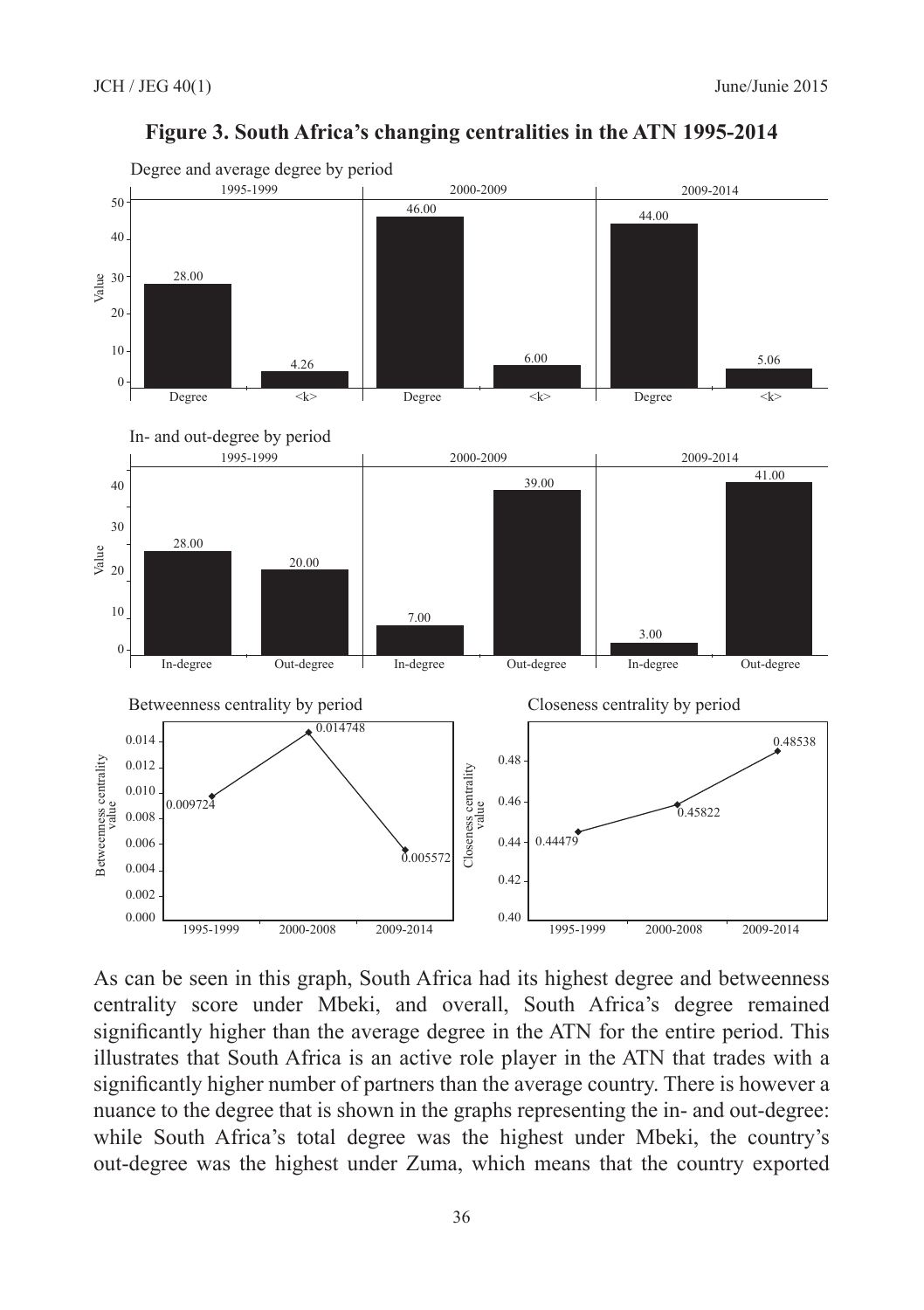

#### **Figure 3. South Africa's changing centralities in the ATN 1995‑2014**

As can be seen in this graph, South Africa had its highest degree and betweenness centrality score under Mbeki, and overall, South Africa's degree remained significantly higher than the average degree in the ATN for the entire period. This illustrates that South Africa is an active role player in the ATN that trades with a significantly higher number of partners than the average country. There is however a nuance to the degree that is shown in the graphs representing the in- and out-degree: while South Africa's total degree was the highest under Mbeki, the country's out‑degree was the highest under Zuma, which means that the country exported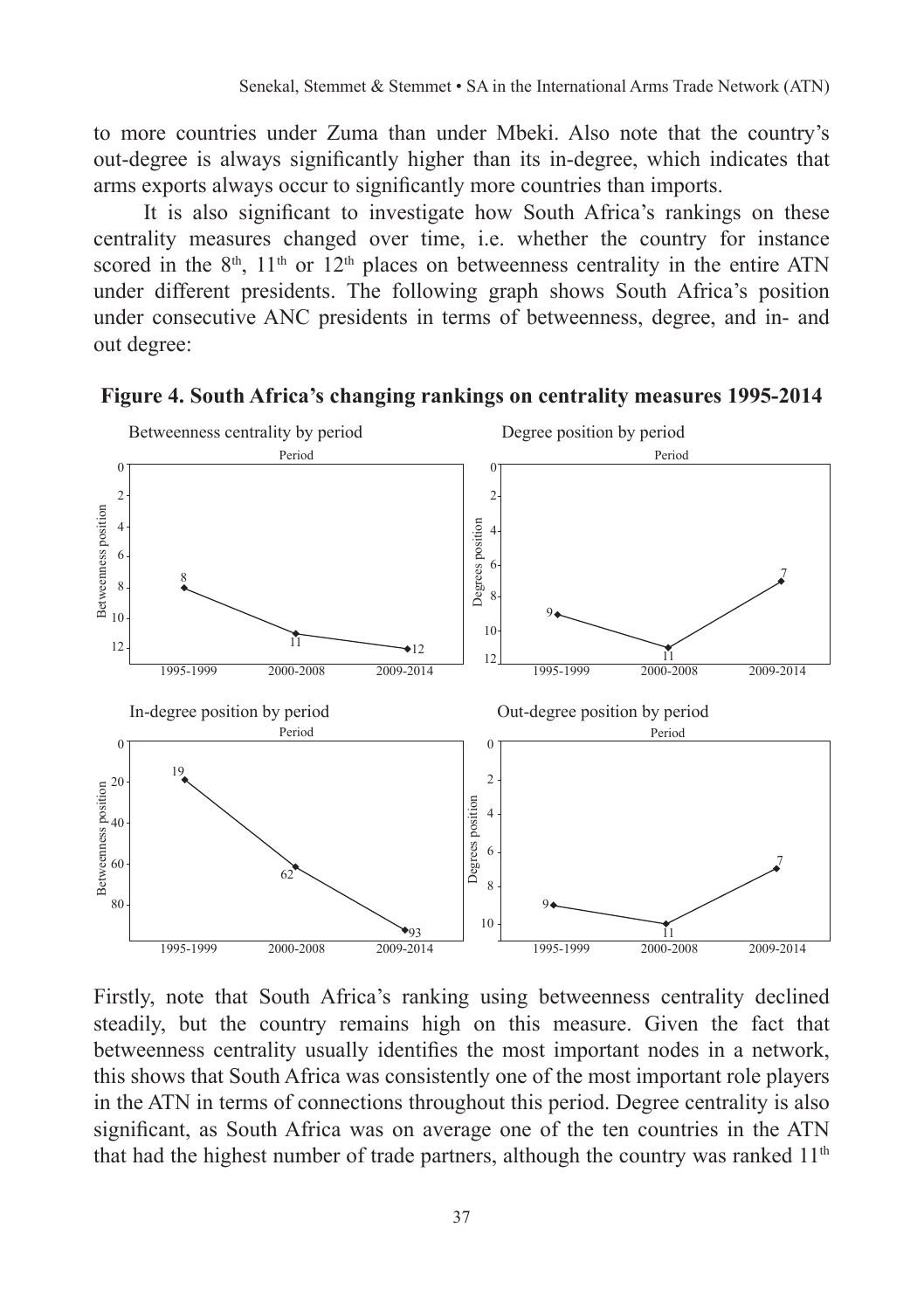to more countries under Zuma than under Mbeki. Also note that the country's out‑degree is always significantly higher than its in‑degree, which indicates that arms exports always occur to significantly more countries than imports.

It is also significant to investigate how South Africa's rankings on these centrality measures changed over time, i.e. whether the country for instance scored in the  $8<sup>th</sup>$ ,  $11<sup>th</sup>$  or  $12<sup>th</sup>$  places on betweenness centrality in the entire ATN under different presidents. The following graph shows South Africa's position under consecutive ANC presidents in terms of betweenness, degree, and in‑ and out degree:



**Figure 4. South Africa's changing rankings on centrality measures 1995‑2014**

Firstly, note that South Africa's ranking using betweenness centrality declined steadily, but the country remains high on this measure. Given the fact that betweenness centrality usually identifies the most important nodes in a network, this shows that South Africa was consistently one of the most important role players in the ATN in terms of connections throughout this period. Degree centrality is also significant, as South Africa was on average one of the ten countries in the ATN that had the highest number of trade partners, although the country was ranked  $11<sup>th</sup>$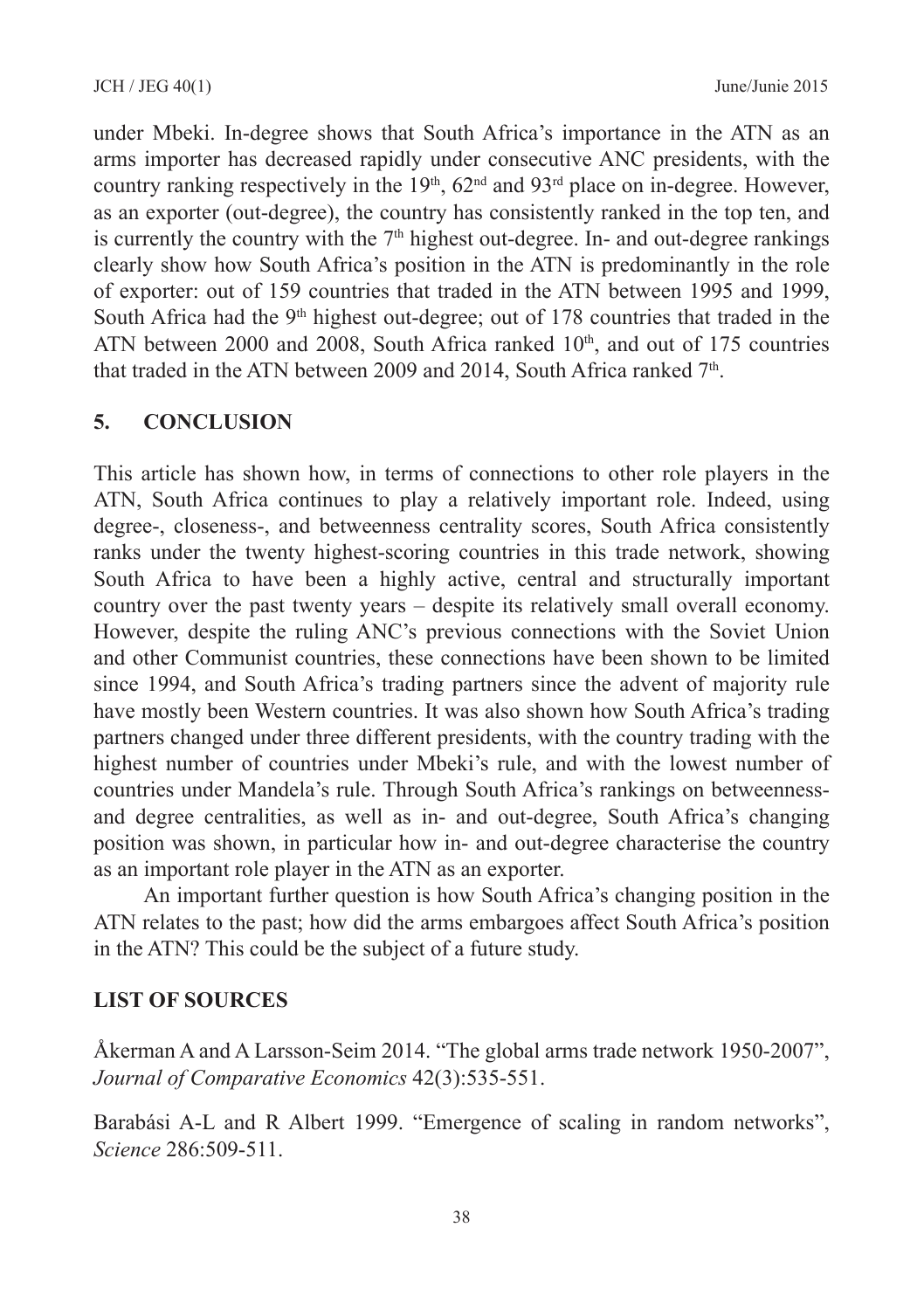under Mbeki. In‑degree shows that South Africa's importance in the ATN as an arms importer has decreased rapidly under consecutive ANC presidents, with the country ranking respectively in the  $19<sup>th</sup>$ ,  $62<sup>nd</sup>$  and  $93<sup>rd</sup>$  place on in-degree. However, as an exporter (out-degree), the country has consistently ranked in the top ten, and is currently the country with the  $7<sup>th</sup>$  highest out-degree. In- and out-degree rankings clearly show how South Africa's position in the ATN is predominantly in the role of exporter: out of 159 countries that traded in the ATN between 1995 and 1999, South Africa had the 9<sup>th</sup> highest out-degree; out of 178 countries that traded in the ATN between 2000 and 2008, South Africa ranked 10<sup>th</sup>, and out of 175 countries that traded in the ATN between 2009 and 2014, South Africa ranked  $7<sup>th</sup>$ .

#### **5. CONCLUSION**

This article has shown how, in terms of connections to other role players in the ATN, South Africa continues to play a relatively important role. Indeed, using degree‑, closeness‑, and betweenness centrality scores, South Africa consistently ranks under the twenty highest-scoring countries in this trade network, showing South Africa to have been a highly active, central and structurally important country over the past twenty years – despite its relatively small overall economy. However, despite the ruling ANC's previous connections with the Soviet Union and other Communist countries, these connections have been shown to be limited since 1994, and South Africa's trading partners since the advent of majority rule have mostly been Western countries. It was also shown how South Africa's trading partners changed under three different presidents, with the country trading with the highest number of countries under Mbeki's rule, and with the lowest number of countries under Mandela's rule. Through South Africa's rankings on betweennessand degree centralities, as well as in‑ and out‑degree, South Africa's changing position was shown, in particular how in‑ and out‑degree characterise the country as an important role player in the ATN as an exporter.

An important further question is how South Africa's changing position in the ATN relates to the past; how did the arms embargoes affect South Africa's position in the ATN? This could be the subject of a future study.

#### **LIST OF SOURCES**

Åkerman A and A Larsson-Seim 2014. "The global arms trade network 1950-2007", *Journal of Comparative Economics* 42(3):535-551.

Barabási A-L and R Albert 1999. "Emergence of scaling in random networks", *Science* 286:509-511.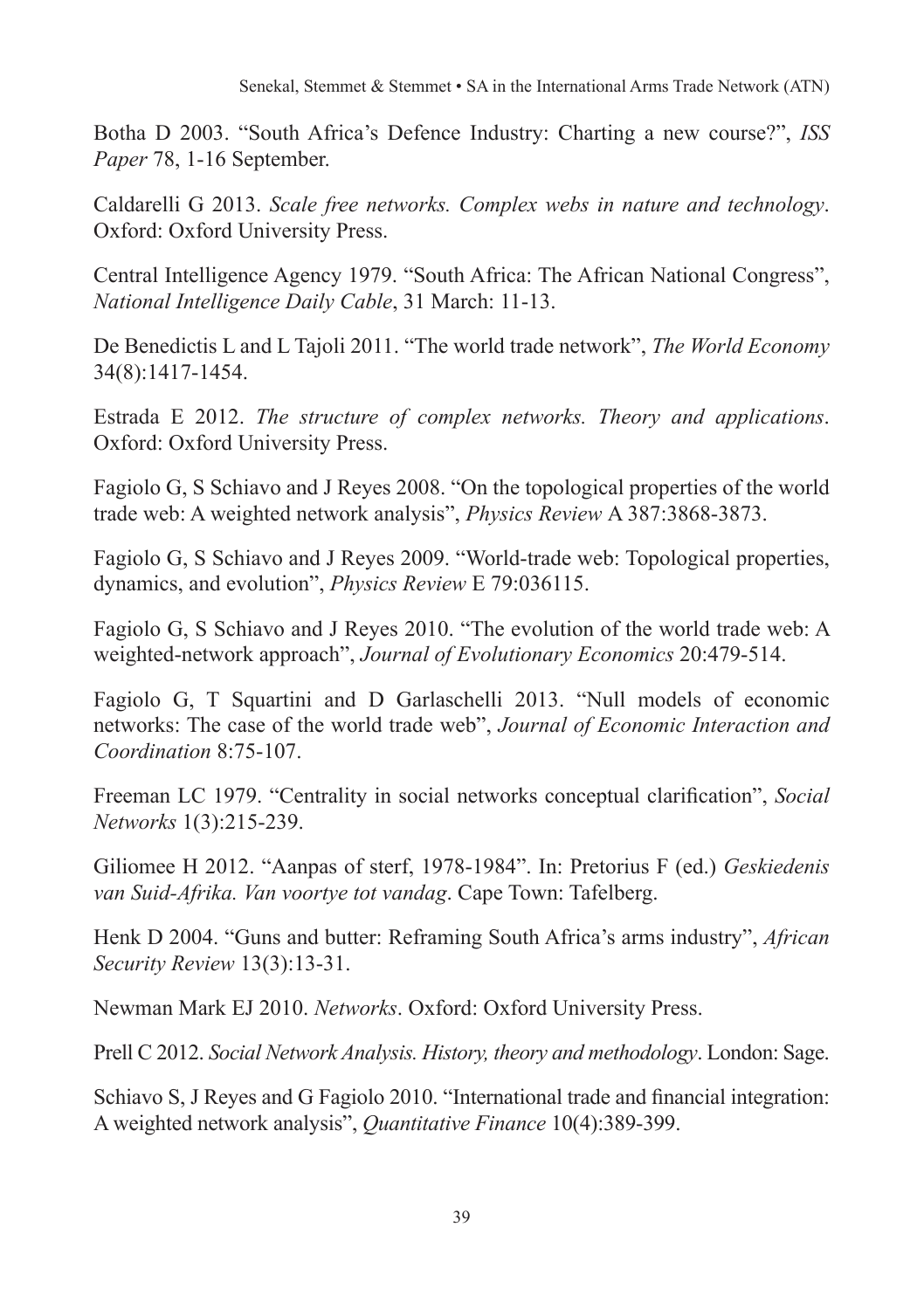Botha D 2003. "South Africa's Defence Industry: Charting a new course?", *ISS Paper* 78, 1-16 September.

Caldarelli G 2013. *Scale free networks. Complex webs in nature and technology*. Oxford: Oxford University Press.

Central Intelligence Agency 1979. "South Africa: The African National Congress", *National Intelligence Daily Cable*, 31 March: 11-13.

De Benedictis L and L Tajoli 2011. "The world trade network", *The World Economy* 34(8):1417-1454.

Estrada E 2012. *The structure of complex networks. Theory and applications*. Oxford: Oxford University Press.

Fagiolo G, S Schiavo and J Reyes 2008. "On the topological properties of the world trade web: A weighted network analysis", *Physics Review* A 387:3868-3873.

Fagiolo G, S Schiavo and J Reyes 2009. "World-trade web: Topological properties, dynamics, and evolution", *Physics Review* E 79:036115.

Fagiolo G, S Schiavo and J Reyes 2010. "The evolution of the world trade web: A weighted-network approach", *Journal of Evolutionary Economics* 20:479-514.

Fagiolo G, T Squartini and D Garlaschelli 2013. "Null models of economic networks: The case of the world trade web", *Journal of Economic Interaction and Coordination* 8:75-107.

Freeman LC 1979. "Centrality in social networks conceptual clarification", *Social Networks* 1(3):215-239.

Giliomee H 2012. "Aanpas of sterf, 1978-1984". In: Pretorius F (ed.) *Geskiedenis van Suid-Afrika. Van voortye tot vandag*. Cape Town: Tafelberg.

Henk D 2004. "Guns and butter: Reframing South Africa's arms industry", *African Security Review* 13(3):13-31.

Newman Mark EJ 2010. *Networks*. Oxford: Oxford University Press.

Prell C 2012. *Social Network Analysis. History, theory and methodology*. London: Sage.

Schiavo S, J Reyes and G Fagiolo 2010. "International trade and financial integration: A weighted network analysis", *Quantitative Finance* 10(4):389-399.